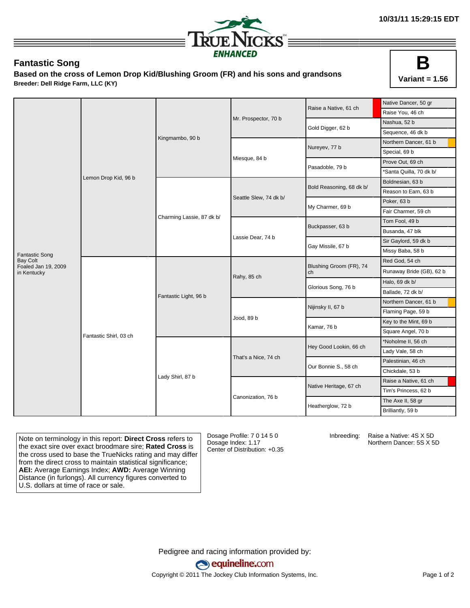

## **Fantastic Song**

**Based on the cross of Lemon Drop Kid/Blushing Groom (FR) and his sons and grandsons Breeder: Dell Ridge Farm, LLC (KY)**



|                                        |                        |                           |                        | Raise a Native, 61 ch         | Native Dancer, 50 gr     |
|----------------------------------------|------------------------|---------------------------|------------------------|-------------------------------|--------------------------|
|                                        | Lemon Drop Kid, 96 b   | Kingmambo, 90 b           |                        |                               | Raise You, 46 ch         |
|                                        |                        |                           | Mr. Prospector, 70 b   | Gold Digger, 62 b             | Nashua, 52 b             |
|                                        |                        |                           |                        |                               | Sequence, 46 dk b        |
|                                        |                        |                           | Miesque, 84 b          | Nureyev, 77 b                 | Northern Dancer, 61 b    |
|                                        |                        |                           |                        |                               | Special, 69 b            |
|                                        |                        |                           |                        | Pasadoble, 79 b               | Prove Out, 69 ch         |
|                                        |                        |                           |                        |                               | *Santa Quilla, 70 dk b/  |
|                                        |                        | Charming Lassie, 87 dk b/ | Seattle Slew, 74 dk b/ | Bold Reasoning, 68 dk b/      | Boldnesian, 63 b         |
|                                        |                        |                           |                        |                               | Reason to Earn, 63 b     |
|                                        |                        |                           |                        | My Charmer, 69 b              | Poker, 63 b              |
|                                        |                        |                           |                        |                               | Fair Charmer, 59 ch      |
|                                        |                        |                           | Lassie Dear, 74 b      | Buckpasser, 63 b              | Tom Fool, 49 b           |
|                                        |                        |                           |                        |                               | Busanda, 47 blk          |
|                                        |                        |                           |                        | Gay Missile, 67 b             | Sir Gaylord, 59 dk b     |
| <b>Fantastic Song</b>                  |                        |                           |                        |                               | Missy Baba, 58 b         |
| <b>Bay Colt</b><br>Foaled Jan 19, 2009 | Fantastic Shirl, 03 ch | Fantastic Light, 96 b     | Rahy, 85 ch            | Blushing Groom (FR), 74<br>ch | Red God, 54 ch           |
| in Kentucky                            |                        |                           |                        |                               | Runaway Bride (GB), 62 b |
|                                        |                        |                           |                        | Glorious Song, 76 b           | Halo, 69 dk b/           |
|                                        |                        |                           |                        |                               | Ballade, 72 dk b/        |
|                                        |                        |                           |                        | Nijinsky II, 67 b             | Northern Dancer, 61 b    |
|                                        |                        |                           |                        |                               | Flaming Page, 59 b       |
|                                        |                        |                           | Jood, 89 b             | Kamar, 76 b                   | Key to the Mint, 69 b    |
|                                        |                        |                           |                        |                               | Square Angel, 70 b       |
|                                        |                        |                           | That's a Nice, 74 ch   | Hey Good Lookin, 66 ch        | *Noholme II, 56 ch       |
|                                        |                        |                           |                        |                               | Lady Vale, 58 ch         |
|                                        |                        |                           |                        | Our Bonnie S., 58 ch          | Palestinian, 46 ch       |
|                                        |                        |                           |                        |                               | Chickdale, 53 b          |
|                                        |                        | Lady Shirl, 87 b          | Canonization, 76 b     | Native Heritage, 67 ch        | Raise a Native, 61 ch    |
|                                        |                        |                           |                        |                               | Tim's Princess, 62 b     |
|                                        |                        |                           |                        | Heatherglow, 72 b             | The Axe II, 58 gr        |
|                                        |                        |                           |                        |                               | Brilliantly, 59 b        |

Note on terminology in this report: **Direct Cross** refers to the exact sire over exact broodmare sire; **Rated Cross** is the cross used to base the TrueNicks rating and may differ from the direct cross to maintain statistical significance; **AEI:** Average Earnings Index; **AWD:** Average Winning Distance (in furlongs). All currency figures converted to U.S. dollars at time of race or sale.

Dosage Profile: 7 0 14 5 0 Dosage Index: 1.17 Center of Distribution: +0.35

Inbreeding: Raise a Native: 4S X 5D Northern Dancer: 5S X 5D

Pedigree and racing information provided by: equineline.com Copyright © 2011 The Jockey Club Information Systems, Inc. example 2012 Page 1 of 2